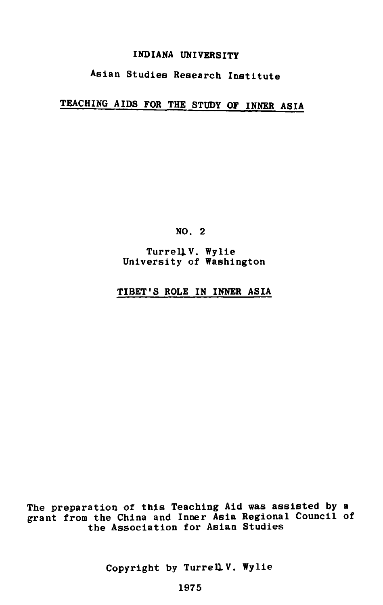# INDIANA UNIVERSITY

# Asian Studies Research Institute

# TEACHING AIDS FOR THE STUDY OF INNER ASIA

NO. 2

Turrell V. Wylie University of Washington

## TIBET'S ROLE IN INNER ASIA

The preparation of this Teaching Aid **was** assisted **by** a grant from the China and Inner Asia Regional Council of the Association for Asian Studies

Copyright by Turrell V. Wylie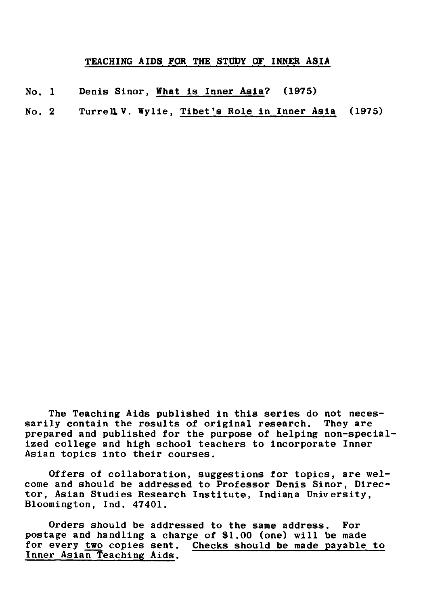## TEACHING AIDS FOR THE STUDY OF INNER ASIA

- No. 1 Denis Sinor, What is Inner Aeia? (1975)
- No. 2 Turrell V. Wylie, Tibet's Role in Inner Asia (1975)

The Teaching Aids published in this series do not necessarily contain the results of original research. They are prepared and published for the purpose of helping non-specialized college and high school teachers to incorporate Inner Asian topics into their courses.

Offers of collaboration, suggestions for topics, are welcome and should be addressed to Professor Denis Sinor, Director, Asian Studies Research Institute, Indiana University, Bloomington, Ind. 47401.

Orders should be addressed to the same address. For postage and handling a charge of \$1.00 (one) will be made for every **two** copies sent. Checks should be made payable to Inner Asian Teaching Aids.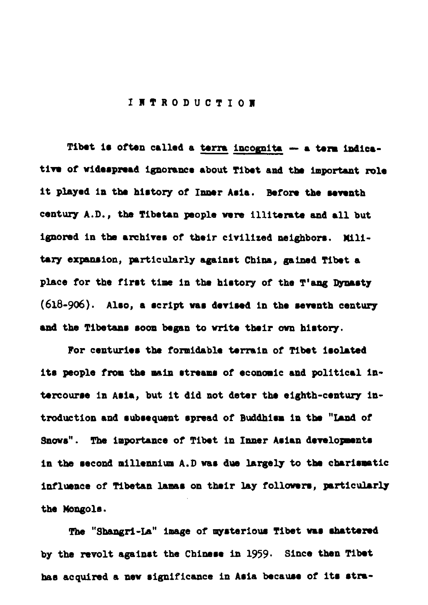### **INTRODUCTION**

Tibet is often called a terra incognita - a term indicative of widespread ignorance about Tibet and the important role it played in the history of Inner Asia. Before the seventh century A.D., the Tibetan people were illiterate and all but ignored in the archives of their civilized neighbors. Military expansion, particularly against China, gained Tibet a place for the first time in the history of the T'ang Dynasty (618-906). Also, a script was devised in the seventh century and the Tibetans soon began to write their own history.

For centuries the formidable terrain of Tibet isolated its people from the main streams of economic and political intercourse in Asia, but it did not deter the eighth-century introduction and subsequent spread of Buddhism in the "Land of Snows". The importance of Tibet in Inner Asian developments in the second millennium A.D was due largely to the charismatic influence of Tibetan lamas on their lay followers, particularly the Mongols.

The "Shangri-La" image of mysterious Tibet was shattered by the revolt against the Chinese in 1959. Since then Tibet has acquired a new significance in Asia because of its stra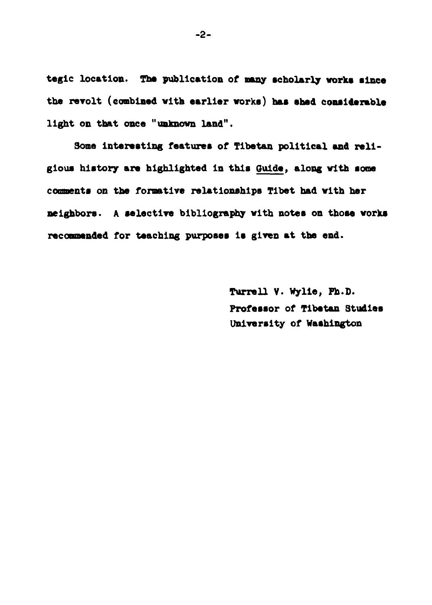tegic location. The publication of many scholarly works since the revolt (combined with earlier works) has shed considerable light on that once "unknown land".

Some interesting features of Tibetan political and religious history are highlighted in this Guide, along with some comments on the formative relationships Tibet had with her neighbors. A selective bibliography with notes on those works recommended for teaching purposes is given at the end.

> Turrell V. Wylie, Ph.D. Professor of Tibetan Studies University of Washington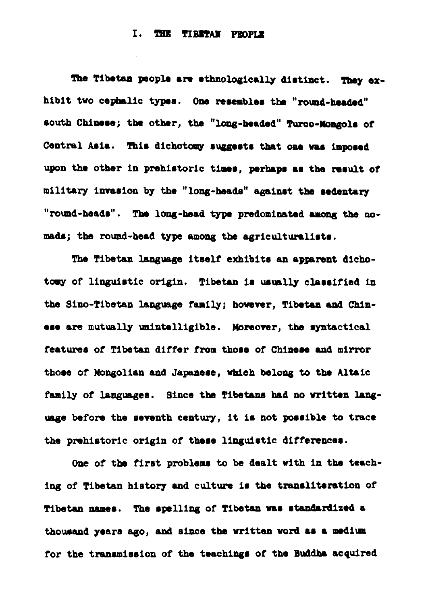#### I. THE TIRETAN PROPIE

The Tibetan people are ethnologically distinct. They exhibit two cephalic types. One resembles the "round-headed" south Chinese; the other, the "long-headed" Turco-Mongols of Central Asia. This dichotomy suggests that one was imposed upon the other in prehistoric times, perhaps as the result of military invasion by the "long-heads" against the sedentary "round-heads". The long-head type predominated among the nomads; the round-head type among the agriculturalists.

The Tibetan language itself exhibits an apparent dichotomy of linguistic origin. Tibetan is usually classified in the Sino-Tibetan language family; however. Tibetan and Chinese are mutually unintelligible. Moreover, the syntactical features of Tibetan differ from those of Chinese and mirror those of Mongolian and Japanese, which belong to the Altaic family of languages. Since the Tibetans had no written language before the seventh century, it is not possible to trace the prehistoric origin of these linguistic differences.

One of the first problems to be dealt with in the teaching of Tibetan history and culture is the transliteration of Tibetan names. The spelling of Tibetan was standardized a thousand years ago, and since the written word as a medium for the transmission of the teachings of the Buddha acquired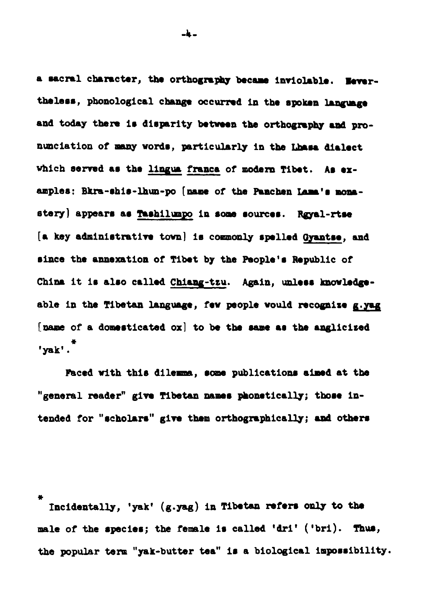a sacral character, the orthography became inviolable. Nevertheless, phonological change occurred in the spoken language and today there is disparity between the orthography and pronunciation of many words, particularly in the Lhasa dialect which served as the lingua franca of modern Tibet. As examples: Bkra-shis-lhun-po (name of the Panchen Lama's monastery] appears as Tashilumpo in some sources. Rayal-rtse [a key administrative town] is commonly spelled Gyantse, and since the annexation of Tibet by the People's Republic of China it is also called Chiang-tzu. Again, unless knowledgeable in the Tibetan language, few people would recognize g.yag [name of a domesticated ox] to be the same as the anglicized  $'$ vak'. $^*$ 

Faced with this dilemma, some publications aimed at the "general reader" give Tibetan names phonetically; those intended for "scholars" give them orthographically; and others

Incidentally, 'yak' (g.yag) in Tibetan refers only to the male of the species; the female is called 'dri' ('bri). Thus, the popular term "yak-butter tea" is a biological impossibility.

-4 -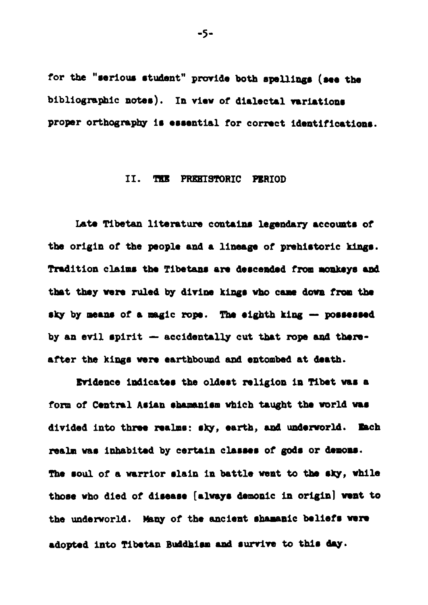for the "serious student" provide both spellings (see the bibliographic notes). In view of dialectal variations proper orthography is essential for correct identifications.

#### II. THE PREHISTORIC PERIOD

Late Tibetan literature contains legendary accounts of the origin of the people and a lineage of prehistoric kings. Tradition claims the Tibetans are descended from monkeys and that they were ruled by divine kings who came down from the sky by means of a magic rope. The eighth king - possessed by an evil spirit - accidentally cut that rope and thereafter the kings were earthbound and entombed at death.

Evidence indicates the oldest religion in Tibet was a form of Central Asian shamanism which taught the world was divided into three realms: sky, earth, and underworld. Each realm was inhabited by certain classes of gods or demons. The soul of a warrior slain in battle went to the sky, while those who died of disease [always demonic in origin] went to the underworld. Many of the ancient shamanic beliefs were adopted into Tibetan Buddhism and survive to this day.

 $-5-$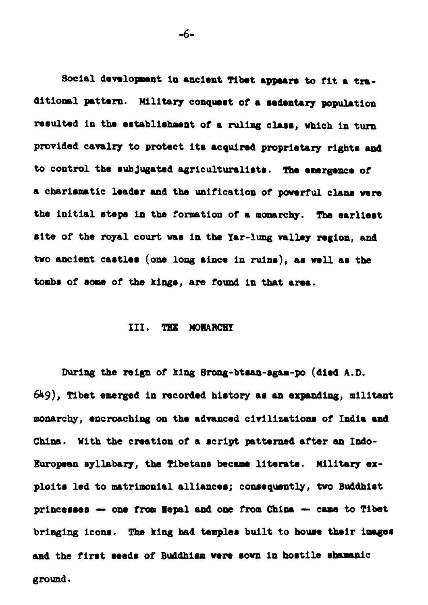Social development in ancient Tibet appears to fit a traditional pattern. Military conquest of a sedentary population resulted in the establishment of a ruling class, which in turn provided cavalry to protect its acquired proprietary rights and to control the subjugated agriculturalists. The emergence of a charismatic leader and the unification of powerful clans were the initial steps in the formation of a monarchy. The earliest site of the royal court was in the Yar-lung valley region, and two ancient castles (one long since in ruins), as well as the tombs of some of the kings, are found in that area.

#### III. THE MONARCHY

During the reign of king Srong-btsan-sgam-po (died  $A.D.$ 649), Tibet emerged in recorded history as an expanding, militant monarchy, encroaching on the advanced civilization, of India **and Chins.** With **the** creation of a rcript **patterned** after **an** Indo-European syllabary, the Tibetans became literate. Military exploits led to matrimonial alliances; consequently, two Buddhist princerws - om fnm Uepal **and** one from China -- came **tO** Tibet bringing icons. The king had temples built to house their images and the first seeds of Buddhism were sown in hostile shamanic ground.

 $-6-$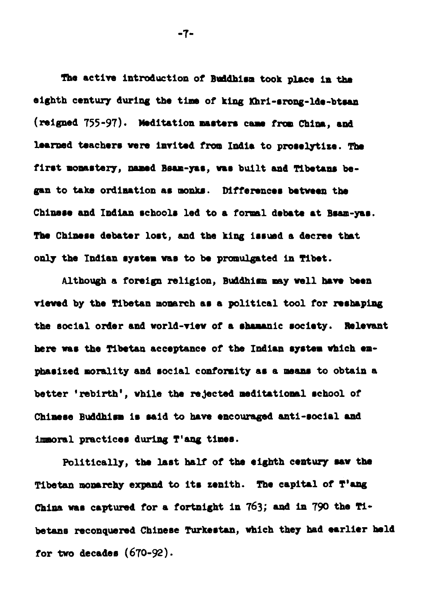The active introduction of Buddhism took place in the eighth century during the time of king Khri-srong-lde-btsan (reigned 755-97). Meditation masters came from China, and hearned teachers were invited from India to proselytize. The first monastery, named Bsam-yas, was built and Tibetans began to take ordination as monks. Differences between the Chinese and Indian schools led to a formal debate at Bsam-yas. The Chinese debater lost, and the king issued a decree that only the Indian system was to be promulgated in Tibet.

Although a foreign religion, Buddhism may well have been **rim8** by **the Tibetan** mooarch ar a political tool for nabaping the social order and world-view of a shamanic society. Relevant here was the Tibetan acceptance of the Indian system which empharized morality end rocial conformity ar s **mom8 to** obtain a better 'rebirth', while the rejected meditational school of Chimese Buddhism is said to have encouraged anti-social and immoral practices during T'ang times.

Politically, the last half of the eighth century saw the **Tibetan wmnhy exgand** to itr zenith. The capital of **T'aag**  China was captured for a fortnight in 763; and in 790 the Tibetans reconquered Chinese Turkestan, which they had earlier held for **two** decade8 (670-9).

 $-7-$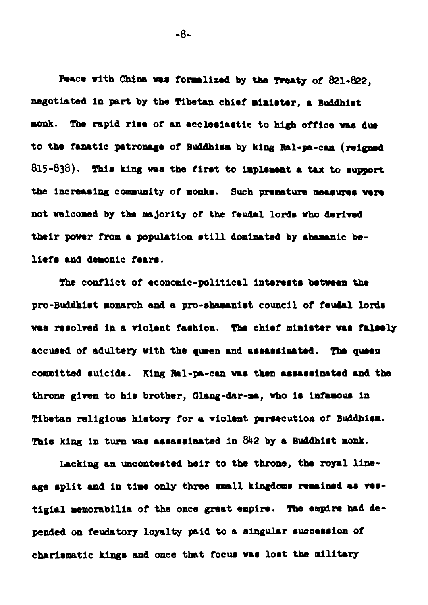Peace with China was formalized by the freaty of 821-822. negotiated in part by the Tibetan chief minister, a Buddhist monk. The rapid rise of an ecclesiastic to high office was due to the fanatic patronage of Buddhism by king Ral-pa-can (reigned 815-838). This king was the first to implement a tax to support the increasing community of monks. Such premature measures were not welcomed by the majority of the feudal lords who derived their power from a population still dominated by shamanic beliefs and demonic fears.

The conflict of economic-political interests between the pro-Buddhist monarch and a pro-shamanist council of feudal lords was resolved in a violent fashion. The chief minister was falsely accused of adultery with the queen and assassinated. The queen committed suicide. King Ral-pa-can was then assassinated and the throne given to his brother, Glang-dar-ma, who is infamous in Tibetan religious history for a violent persecution of Buddhism. This king in turn was assassinated in 842 by a Buddhist monk.

Lacking an uncontested heir to the throne, the royal lineage split and in time only three small kingdoms remained as vestigial memorabilia of the once great empire. The empire had depended on feudatory loyalty paid to a singular succession of charismatic kings and once that focus was lost the military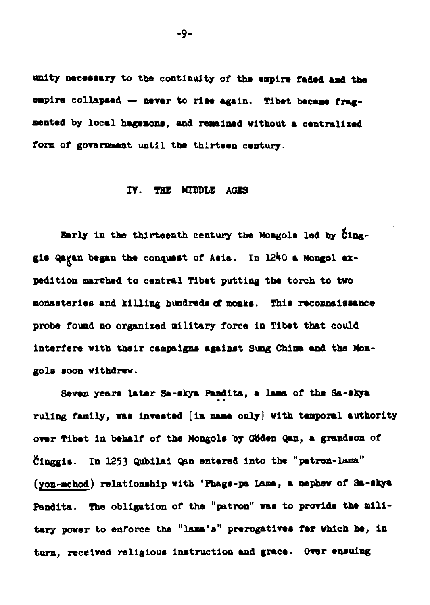unity necessary to the continuity of the empire faded and the empire collapsed -- never to rise again. Tibet became fragmented by local hegemons, and remained without a centralized form of government until the thirteen century.

#### IV. THE MIDDLE AGES

Early in the thirteenth century the Mongols led by Cinggis Qayan began the conquest of Asia. In 1240 a Mongol expedition marched to central Tibet putting the torch to two monasteries and killing hundreds of monks. This reconnaissance probe found no organized military force in Tibet that could interfere with their campaigns against Sung China and the Mongols soon withdrew.

Seven years later Sa-skya Pandita, a lama of the Sa-skya ruling family, was invested [in name only] with temporal authority over Tibet in behalf of the Mongols by Göden Qan, a grandson of Cinggis. In 1253 Qubilai Qan entered into the "patron-lama" (yon-mchod) relationship with 'Phags-pa Lama, a nephew of Sa-skya Pandita. The obligation of the "patron" was to provide the military power to enforce the "lama's" prerogatives for which be, in turn, received religious instruction and grace. Over ensuing

 $-9-$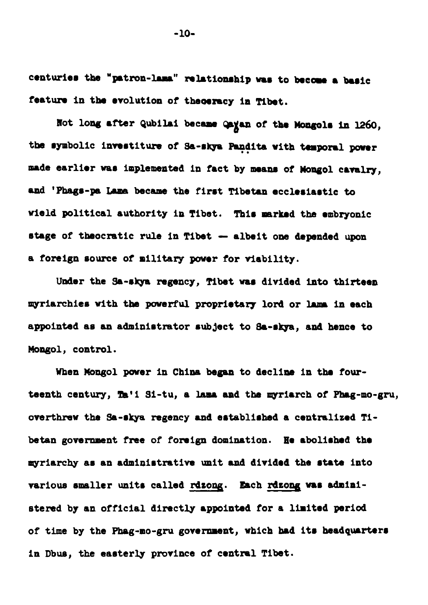centuries the "patron-lama" relationship was to become a basic feature in the evolution of theoeracy in Tibet.

Not long after Qubilai became Qayan of the Mongols in 1260, the symbolic investiture of Sa-skya Pandita with temporal power made earlier was implemented in fact by means of Mongol cavalry, and 'Phags-pa Lama became the first Tibetan ecclesiastic to wield political authority in Tibet. This marked the embryonic stage of theocratic rule in Tibet - albeit one depended upon a foreign source of military power for viability.

Under the Sa-skya regency, Tibet was divided into thirteen myriarchies with the powerful proprietary lord or lama in each appointed as an administrator subject to Sa-skya, and hence to Mongol, control.

When Mongol power in China began to decline in the fourteenth century, Ta'i Si-tu, a lama and the myriarch of Phag-mo-gru, overthrew the Sa-skya regency and established a centralized Tibetan government free of foreign domination. He abolished the myriarchy as an administrative unit and divided the state into various smaller units called rdzong. Each rdzong was administered by an official directly appointed for a limited period of time by the Phag-mo-gru government, which had its headquarters in Dbus, the easterly province of central Tibet.

 $-10-$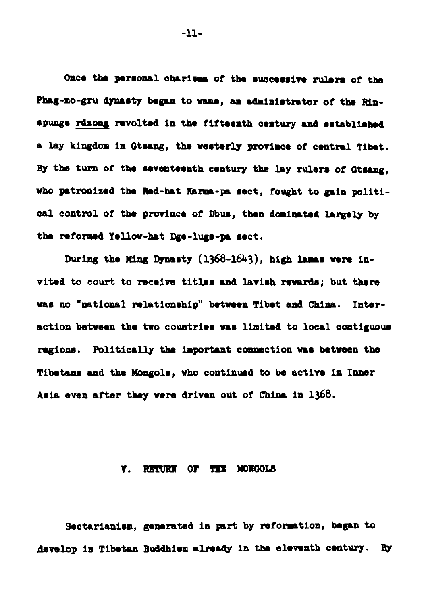Once the personal charisma of the successive rulers of the Phag-mo-gru dynasty began to wane, an administrator of the Rinspungs rdsong revolted in the fifteenth century and established a lay kingdom in Gtsang, the westerly province of central Tibet. By the turn of the seventeenth century the lay rulers of Gtsang. who patronized the Red-hat Karma-pa sect, fought to gain political control of the province of Dbus, then dominated largely by the reformed Yellow-hat Dge-lugs-na sect.

During the Ming Dynasty (1368-1643), high lamas were invited to court to receive titles and lavish rewards; but there was no "national relationship" between Tibet and China. Interaction between the two countries was limited to local contiguous regions. Politically the important connection was between the Tibetans and the Mongols, who continued to be active in Inner Asia even after they were driven out of China in 1368.

#### RETURN OF THE MONGOLS Y.

Sectarianism, generated in part by reformation, began to develop in Tibetan Buddhism already in the eleventh century. By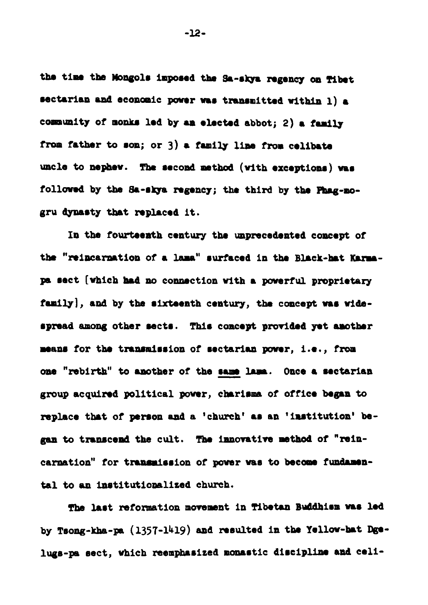the time the Mongols imposed the Sa-skya regency on Tibet sectarian and economic power was transmitted within 1) a community of monks led by an elected abbot: 2) a family from father to son; or 3) a family line from celibate uncle to nephew. The second method (with exceptions) was followed by the Sa-skya regency; the third by the Phag-mogru dynasty that replaced it.

In the fourteenth century the unprecedented concept of the "reincarnation of a lama" surfaced in the Black-hat Karmapa sect [which had no connection with a powerful proprietary family], and by the sixteenth century, the concept was widespread among other sects. This concept provided yet amother means for the transmission of sectarian power, i.e., from one "rebirth" to another of the same lama. Once a sectarian group acquired political power, charisma of office began to replace that of person and a 'church' as an 'institution' began to transcend the cult. The innovative method of "reincarnation" for transmission of power was to become fundamental to an institutionalized church.

The last reformation movement in Tibetan Buddhism was led by Tsong-kha-pa (1357-1419) and resulted in the Yellow-hat Dgelugs-pa sect, which reemphasized monastic discipline and celi-

 $-12-$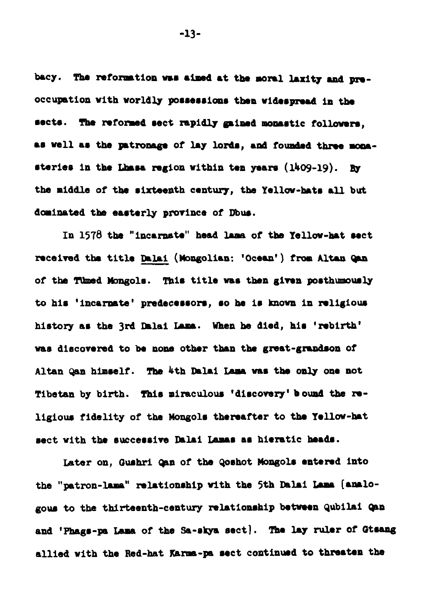bacy. The reformation was aimed at the moral laxity and preoccupation with worldly possessions then widespread in the sects. The reformed sect rapidly gained monastic followers. as well as the patronage of lay lords, and founded three monasteries in the Lhasa region within ten years (1409-19). By the middle of the sixteenth century, the Yellow-hats all but dominated the easterly province of Dbus.

In 1578 the "incarnate" head lama of the Yellow-hat sect received the title Dalai (Mongolian: 'Ocean') from Altan Qan of the Timed Mongols. This title was then given posthumously to his 'incarnate' predecessors, so he is known in religious history as the 3rd Dalai Lama. When he died, his 'rebirth' was discovered to be none other than the great-grandson of Altan Qan himself. The 4th Dalai Lama was the only one not Tibetan by birth. This miraculous 'discovery' bound the religious fidelity of the Mongols thereafter to the Yellow-hat sect with the successive Dalai Lamas as hieratic heads.

Later on. Gushri Can of the Qoshot Mongols entered into the "patron-lama" relationship with the 5th Dalai Lama [analogous to the thirteenth-century relationship between Qubilai Qan and 'Phags-pa Lama of the Sa-skya sect). The lay ruler of Gtsang allied with the Red-hat Karms-pa sect continued to threaten the

 $-13-$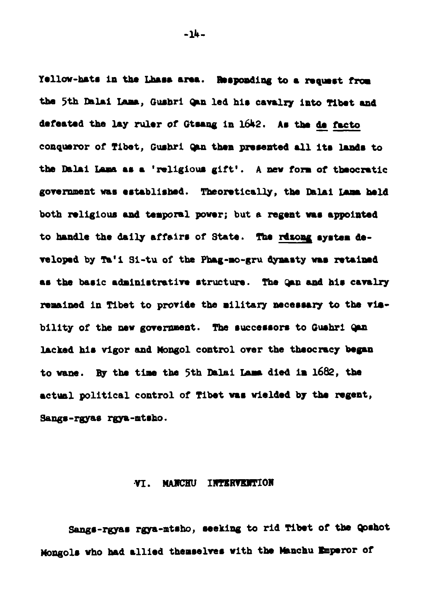Yellow-hats in the Lhass area. Responding to a request from the 5th Dalai Lama. Gushri Gan led his cavalry into Tibet and defeated the lay ruler of Gtsang in 1642. As the de facto conqueror of Tibet. Gushri Can then presented all its lands to the Dalai Lama as a 'religious gift'. A new form of theocratic government was established. Theoretically, the Dalai Lama held both religious and temporal power; but a regent was appointed to handle the daily affairs of State. The rdsong system developed by Ta'i Si-tu of the Phag-mo-gru dynasty was retained as the basic administrative structure. The Gan and his cavalry remained in Tibet to provide the military necessary to the visbility of the new government. The successors to Gushri Qan lacked his vigor and Mongol control over the theocracy began to wane. By the time the 5th Dalai Lama died in 1682, the actual political control of Tibet was wielded by the regent, Sangs-rayas raya-mtsho.

#### VT. MANCHU INTERVENTION

Sangs-rgyas rgya-mtsho, seeking to rid Tibet of the Qoshot Mongols who had allied themselves with the Manchu Emperor of

 $-14-$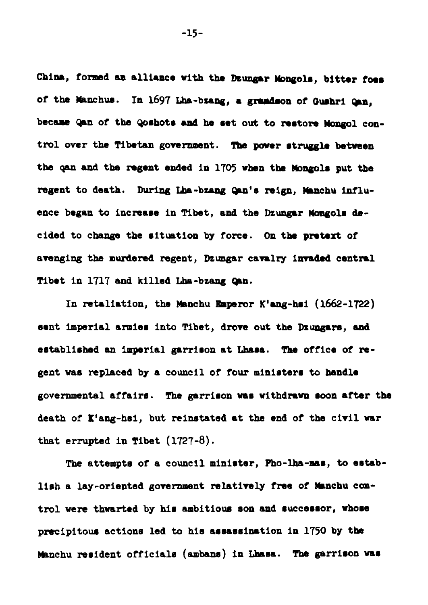China, formed an alliance with the Dzungar Mongols, bitter foes of the Manchus. In 1697 Lha-bzang, a grandson of Gushri Can. became Qan of the Qoshots and he set out to restore Mongol control over the Tibetan government. The power struggle between the gan and the regent ended in 1705 when the Mongols put the regent to death. During Lha-bzang Qan's reign, Manchu influence began to increase in Tibet, and the Dzungar Mongols decided to change the situation by force. On the pretext of avenging the murdered regent, Dzungar cavulry invaded central Tibet in 1717 and killed Lha-bzang Qan.

In retaliation, the Manchu Emperor K'ang-hsi  $(1662-1722)$ sent imperial armies into Tibet, drove out the Dzungars, and established an imperial garrison at Lhasa. The office of regent was replaced by a council of four ministers to handle governmental affairs. The garrison was withdrawn soon after the death of K'ang-hsi, but reinstated at the end of the civil war that errupted in Tibet  $(1727-8)$ .

The attempts of a council minister, Pho-lha-mas, to establish a lay-oriented government relatively free of Manchu control were thwarted by his ambitious son and successor, whose precipitous actions led to his assassination in 1750 by the Manchu resident officials (ambans) in Lhasa. The garrison was

 $-15-$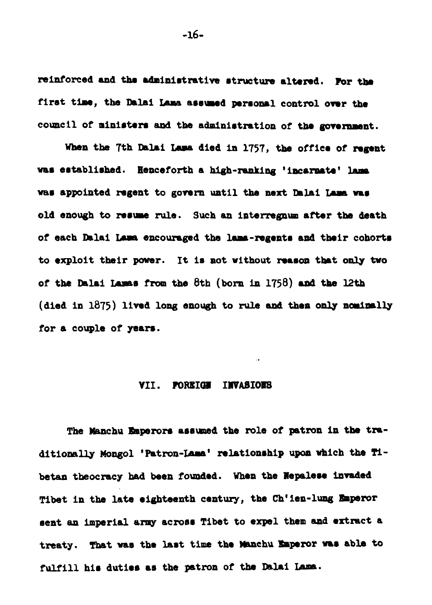reinforced and the administrative structure altered. For the first time, the Dalai Lama assumed personal control over the council of ministers and the administration of the government.

When the 7th Dalai Lama died in 1757, the office of regent was established. Henceforth a high-ranking 'incarnate' lama was appointed regent to govern until the next Dalai Lama was old enough to resume rule. Such an interregnum after the death of each Dalai Lama encouraged the lama-regents and their cohorts to exploit their power. It is not without reason that only two of the Dalai Lamas from the 8th (born in 1758) and the 12th (died in 1875) lived long enough to rule and then only nominally for a couple of years.

#### VII. FOREIGH INVASIONS

The Manchu Emperors assumed the role of patron in the traditionally Mongol 'Patron-Lama' relationship upon which the Tibetan theocracy had been founded. When the Nepalese invaded Tibet in the late eighteenth century, the Ch'ien-lung Emperor sent an imperial army across Tibet to expel them and extract a treaty. That was the last time the Manchu Emperor was able to fulfill his duties as the patron of the Dalai Lama.

 $-16-$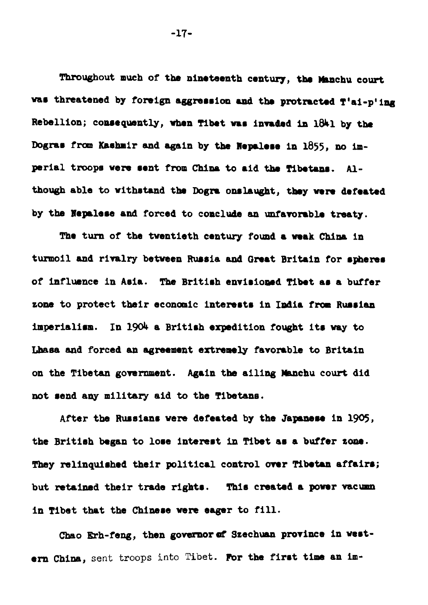Throughout much of the nineteenth century, the Manchu court vas threatened by foreign aggression and the protracted T'ai-p'ing Rebellion; consequently, when Tibet was invaded in  $1841$  by the Dogras from Kashmir and again by the Nepalese in 1855, no imperial troops were sent from China to aid the Tibetans. Although able to withstand the Dogra onslaught, they were defeated by the Nepalese and forced to conclude an unfavorable treaty.

The turn of the twentieth century found a weak China in turmoil and rivalry between Russia and Great Britain for spheres of influence in Asia. The British envisioned Tibet as a buffer zone to protect their economic interests in India from Russian imperialism. In 1904 a British expedition fought its way to Lhasa and forced an agreement extremely favorable to Britain on the Tibetan government. Again the ailing Manchu court did not send any military aid to the Tibetans.

After the Russians vere defeated by the Japanese in 1905, the British began to lose interest in Tibet as a buffer zone. **They relinquished their political control over Tibetan affairs;** but retained their trade rights. This created a power vacumn in Tibet that the Chinese were eager to fill.

Chao Erh-feng, then governor of Szechuan province in western China, sent troops into Tibet. For the first time an im-

 $-17-$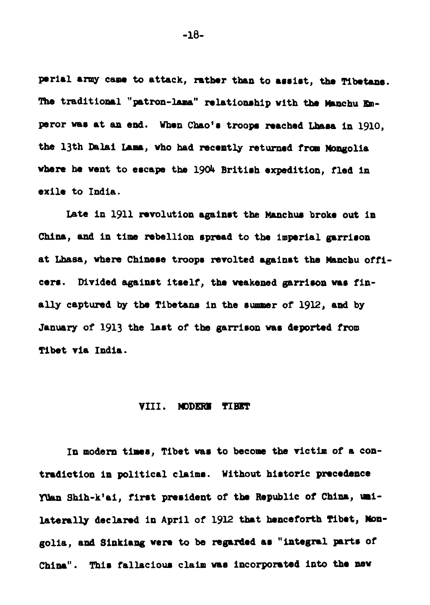perial army came to attack, rather than to assist, the Tibetans. The traditional "patron-lama" relationship with the Manchu Emperor was at an end. When Chao's troops reached Lhasa in 1910, the 13th Dalai Lama, who had recently returned from Mongolia where he went to escape the 1904 British expedition, fled in exile to India.

Late in 1911 revolution against the Manchus broke out in China, and in time rebellion spread to the imperial garrison at **Lhaea, whom** Chinere troops mvolted against the **hknchu** officers. Divided against itself, the weakened garrison was finally captured by the Tibetans in the summer of 1912, and by January of 1913 the last of the garrison was deported from Tibet via India.

#### VIII. **mDERH TIBET**

In modern times, Tibet was to become the victim of a contradiction in political claims. Without historic precedence Yuan Shih-k'ai, first president of the Republic of China, unilaterally declared in April of 1912 that henceforth Tibet, Mongolia, and Sinkiang were to be regarded as "integral parts of China". Thir fallaciour claim **var** incorporatad into the **rnsv** 

 $-1A-$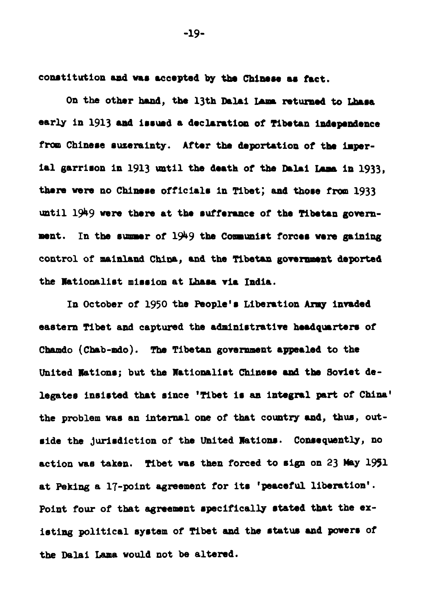constitution and was accepted by the Chinese as fact.

On the other hand, the 13th Dalai Lama returned to Lhasa early in 1913 and issued a declaration of Tibetan independence from Chinese suzerainty. After the deportation of the imperial garrison in 1913 until the death of the Dalai Lama in 1933. there were no Chinese officials in Tibet; and those from 1933 until 1949 were there at the sufferance of the Tibetan government. In the summer of  $1949$  the Communist forces were gaining control of mainland China, and the Tibetan government deported the Nationalist mission at Lhasa via India.

In October of 1950 the People's Liberation Army invaded eastern Tibet and captured the administrative headquarters of Chando (Chab-mdo). The Tibetan government appealed to the United Nations: but the Nationalist Chinese and the Soviet delegates insisted that since 'Tibet is an integral part of China' the problem was an internal one of that country and, thus, outside the jurisdiction of the United Nations. Consequently, no action was taken. Tibet was then forced to sign on 23 May 1951 at Peking a 17-point agreement for its 'peaceful liberation'. Point four of that agreement specifically stated that the existing political system of Tibet and the status and powers of the Dalai Lama would not be altered.

 $-19-$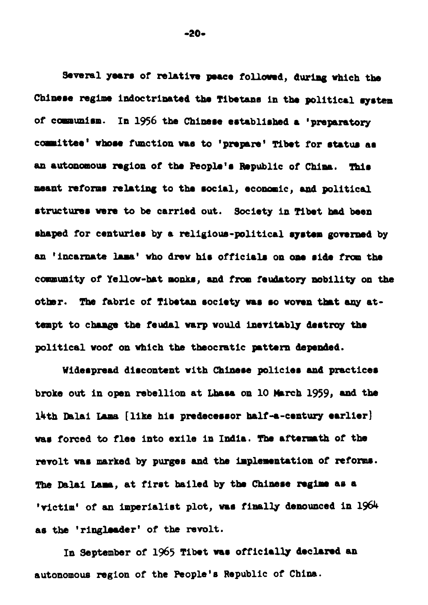Several years of relative peace followed, during which the Chinese regime indoctrinated the Tibetans in the political system of communism. In 1956 the Chinese established a 'preparatory committee' whose function was to 'prepare' Tibet for status as an autonomous region of the People's Republic of China. This meant reforms relating to the social, economic, and political structures were to be carried out. Society in Tibet had been shaped for centuries by a religious-political system governed by an 'incarnate lama' who drew his officials on one side from the community of Yellow-hat monks, and from feudatory nobility on the other. The fabric of Tibetan society was so woven that any attempt to change the feudal warp would inevitably destroy the political woof on which the theocratic mattern depended.

Widespread discontent with Chinese policies and practices broke out in open rebellion at Lhasa on 10 March 1959, and the lath Dalai Lama [like his predecessor half-a-century earlier] was forced to flee into exile in India. The aftermath of the revolt was marked by purges and the implementation of reforms. The Dalai Lama, at first hailed by the Chinese regime as a 'victim' of an imperialist plot, was finally denounced in 1964 as the 'ringleader' of the revolt.

In September of 1965 Tibet was officially declared an autonomous region of the People's Republic of China.

 $-20-$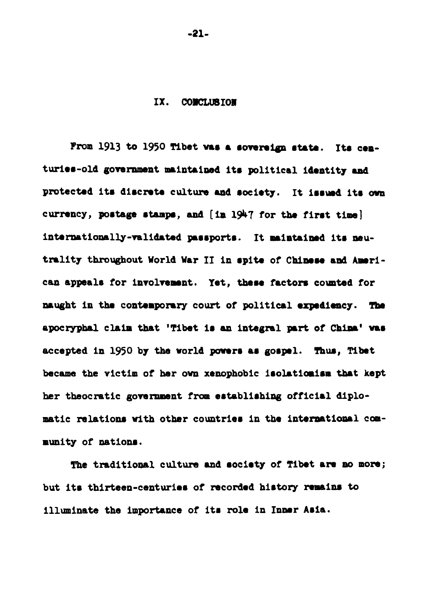#### IX. CONCLUBION

From 1913 to 1950 Tibet was a sovereign state. Its centuries-old government maintained its political identity and protected its discrete culture and society. It issued its own currency, postage stamps, and [in 1947 for the first time] internationally-validated passports. It maintained its neutrality throughout World War II in spite of Chinese and American appeals for involvement. Yet, these factors counted for naught in the contemporary court of political expediency. The apocryphal claim that 'Tibet is an integral part of China' was accepted in 1950 by the world powers as gospel. Thus, Tibet became the victim of her own xenophobic isolationism that kept her theocratic government from establishing official diplomatic relations with other countries in the international community of nations.

The traditional culture and society of Tibet are no more; but its thirteen-centuries of recorded history remains to illuminate the importance of its role in Inner Asia.

 $-21-$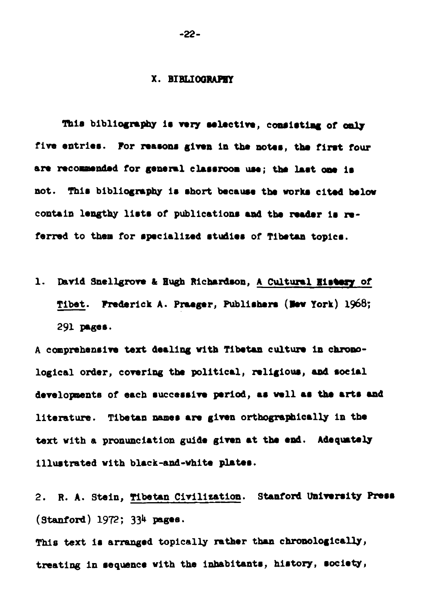#### X. BIBLIOGRAPHY

This bibliography is very selective, consisting of only five entries. For reasons given in the notes, the first four are recommended for general classroom use; the last one is not. This bibliography is short because the works cited below contain lengthy lists of publications and the reader is referred to them for specialized studies of Tibetan topics.

1. David Snellgrove & Hugh Richardson, A Cultural History of Tibet. Frederick A. Praeger, Publishers (New York) 1968; 291 радев.

A comprehensive text dealing with Tibetan culture in chronological order, covering the political, religious, and social developments of each successive period, as well as the arts and literature. Tibetan names are given orthographically in the text with a pronunciation guide given at the end. Adequately illustrated with black-and-white plates.

2. R. A. Stein, Tibetan Civilization. Stanford University Press  $(Stanford)$  1972; 334 pages.

This text is arranged topically rather than chronologically, treating in sequence with the inhabitants, history, society,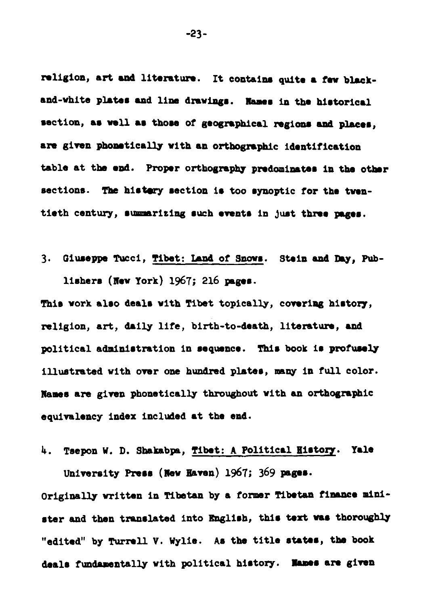religion, art and literature. It contains quite a few blackand-white plates and line drawings. Names in the historical section, as well as those of geographical regions and places, are given phometically with an orthographic identification table at the end. Proper orthography predominates in the other sections. The history section is too synoptic for the twentieth century, summarizing such events in just three pages.

3. Giuseppe Tucci, Tibet: Land of Snows. Stein and Day, Publishers (New York)  $1967$ ; 216 pages.

This work also deals with Tibet topically, covering history, religion, art, daily life, birth-to-death, literature, and political administration in sequence. This book is profusely illustrated with over **one** hundmd phter, **many** in full color. Rams are girsn phonetically throughout with **an** orthographic equivalency index included at the end.

4. Tsepon W. D. Shakabpa, Tibet: A Political History. Yale University Press (New Haven) 1967; 369 pages.

Originally written in **Tibetan** by a former **Tibetan finance** minister and then translated into English, this text was thoroughly "edited" by Turrell V. Wylie. As the title states, the book deals fundamentally with political history. Names are given